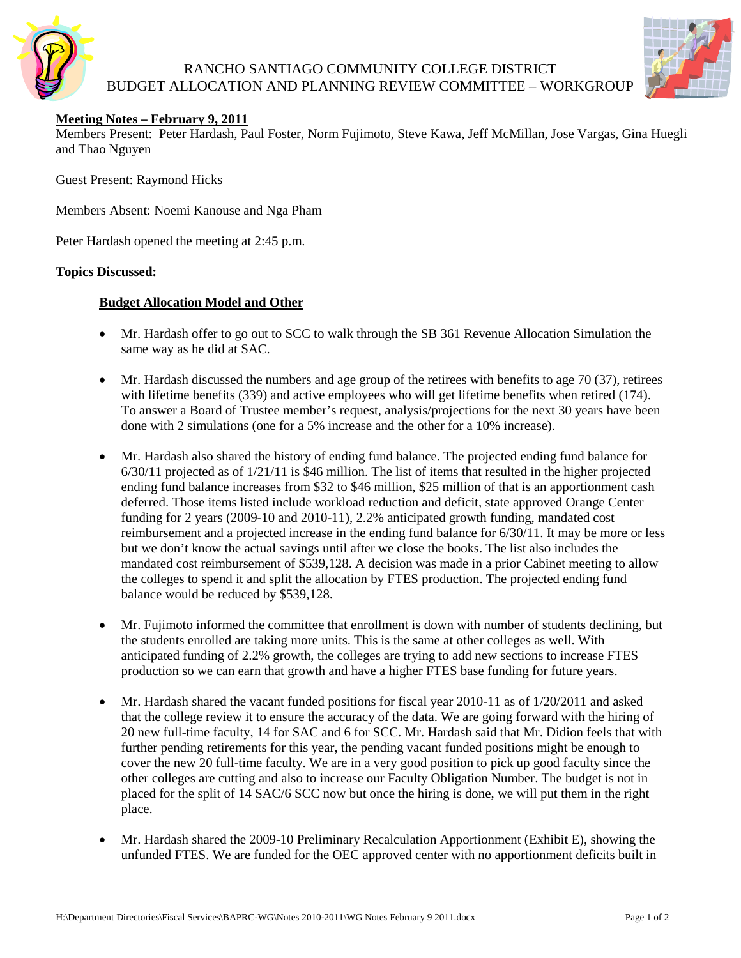

## RANCHO SANTIAGO COMMUNITY COLLEGE DISTRICT BUDGET ALLOCATION AND PLANNING REVIEW COMMITTEE – WORKGROUP



## **Meeting Notes – February 9, 2011**

Members Present: Peter Hardash, Paul Foster, Norm Fujimoto, Steve Kawa, Jeff McMillan, Jose Vargas, Gina Huegli and Thao Nguyen

Guest Present: Raymond Hicks

Members Absent: Noemi Kanouse and Nga Pham

Peter Hardash opened the meeting at 2:45 p.m.

#### **Topics Discussed:**

## **Budget Allocation Model and Other**

- Mr. Hardash offer to go out to SCC to walk through the SB 361 Revenue Allocation Simulation the same way as he did at SAC.
- Mr. Hardash discussed the numbers and age group of the retirees with benefits to age 70 (37), retirees with lifetime benefits (339) and active employees who will get lifetime benefits when retired (174). To answer a Board of Trustee member's request, analysis/projections for the next 30 years have been done with 2 simulations (one for a 5% increase and the other for a 10% increase).
- Mr. Hardash also shared the history of ending fund balance. The projected ending fund balance for 6/30/11 projected as of 1/21/11 is \$46 million. The list of items that resulted in the higher projected ending fund balance increases from \$32 to \$46 million, \$25 million of that is an apportionment cash deferred. Those items listed include workload reduction and deficit, state approved Orange Center funding for 2 years (2009-10 and 2010-11), 2.2% anticipated growth funding, mandated cost reimbursement and a projected increase in the ending fund balance for 6/30/11. It may be more or less but we don't know the actual savings until after we close the books. The list also includes the mandated cost reimbursement of \$539,128. A decision was made in a prior Cabinet meeting to allow the colleges to spend it and split the allocation by FTES production. The projected ending fund balance would be reduced by \$539,128.
- Mr. Fujimoto informed the committee that enrollment is down with number of students declining, but the students enrolled are taking more units. This is the same at other colleges as well. With anticipated funding of 2.2% growth, the colleges are trying to add new sections to increase FTES production so we can earn that growth and have a higher FTES base funding for future years.
- Mr. Hardash shared the vacant funded positions for fiscal year 2010-11 as of 1/20/2011 and asked that the college review it to ensure the accuracy of the data. We are going forward with the hiring of 20 new full-time faculty, 14 for SAC and 6 for SCC. Mr. Hardash said that Mr. Didion feels that with further pending retirements for this year, the pending vacant funded positions might be enough to cover the new 20 full-time faculty. We are in a very good position to pick up good faculty since the other colleges are cutting and also to increase our Faculty Obligation Number. The budget is not in placed for the split of 14 SAC/6 SCC now but once the hiring is done, we will put them in the right place.
- Mr. Hardash shared the 2009-10 Preliminary Recalculation Apportionment (Exhibit E), showing the unfunded FTES. We are funded for the OEC approved center with no apportionment deficits built in